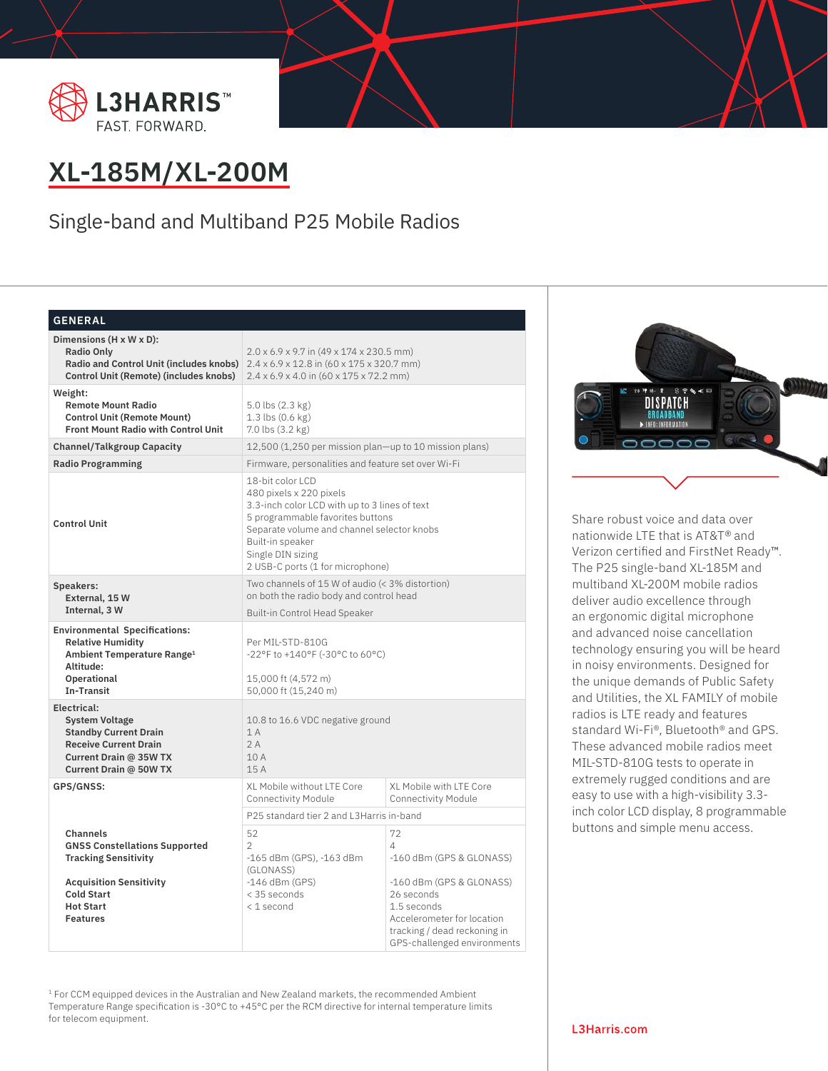



# **XL-185M/XL-200M**

Single-band and Multiband P25 Mobile Radios

## **GENERAL**

| Dimensions (H x W x D):<br>Radio Only<br>Radio and Control Unit (includes knobs)<br><b>Control Unit (Remote) (includes knobs)</b>                                             | $2.0 \times 6.9 \times 9.7$ in (49 x 174 x 230.5 mm)<br>$2.4 \times 6.9 \times 12.8$ in $(60 \times 175 \times 320.7$ mm)<br>$2.4 \times 6.9 \times 4.0$ in $(60 \times 175 \times 72.2$ mm)                                                                |                                                                                                                                                                                                  |  |
|-------------------------------------------------------------------------------------------------------------------------------------------------------------------------------|-------------------------------------------------------------------------------------------------------------------------------------------------------------------------------------------------------------------------------------------------------------|--------------------------------------------------------------------------------------------------------------------------------------------------------------------------------------------------|--|
| Weight:<br><b>Remote Mount Radio</b><br><b>Control Unit (Remote Mount)</b><br><b>Front Mount Radio with Control Unit</b>                                                      | 5.0 lbs (2.3 kg)<br>1.3 lbs (0.6 kg)<br>7.0 lbs (3.2 kg)                                                                                                                                                                                                    |                                                                                                                                                                                                  |  |
| <b>Channel/Talkgroup Capacity</b>                                                                                                                                             | 12,500 (1,250 per mission plan-up to 10 mission plans)                                                                                                                                                                                                      |                                                                                                                                                                                                  |  |
| <b>Radio Programming</b>                                                                                                                                                      | Firmware, personalities and feature set over Wi-Fi                                                                                                                                                                                                          |                                                                                                                                                                                                  |  |
| <b>Control Unit</b>                                                                                                                                                           | 18-bit color LCD<br>480 pixels x 220 pixels<br>3.3-inch color LCD with up to 3 lines of text<br>5 programmable favorites buttons<br>Separate volume and channel selector knobs<br>Built-in speaker<br>Single DIN sizing<br>2 USB-C ports (1 for microphone) |                                                                                                                                                                                                  |  |
| <b>Speakers:</b><br>External, 15 W                                                                                                                                            | Two channels of 15 W of audio (< 3% distortion)<br>on both the radio body and control head                                                                                                                                                                  |                                                                                                                                                                                                  |  |
| Internal, 3 W                                                                                                                                                                 | Built-in Control Head Speaker                                                                                                                                                                                                                               |                                                                                                                                                                                                  |  |
| <b>Environmental Specifications:</b><br><b>Relative Humidity</b><br>Ambient Temperature Range <sup>1</sup><br>Altitude:<br>Operational<br><b>Tn-Transit</b>                   | Per MIL-STD-810G<br>-22°F to +140°F (-30°C to 60°C)<br>15,000 ft (4,572 m)<br>50,000 ft (15,240 m)                                                                                                                                                          |                                                                                                                                                                                                  |  |
| Electrical:<br><b>System Voltage</b><br><b>Standby Current Drain</b><br><b>Receive Current Drain</b><br>Current Drain @ 35W TX<br>Current Drain @ 50W TX                      | 10.8 to 16.6 VDC negative ground<br>1A<br>2A<br>10A<br>15A                                                                                                                                                                                                  |                                                                                                                                                                                                  |  |
| GPS/GNSS:                                                                                                                                                                     | XL Mobile without LTE Core<br>Connectivity Module                                                                                                                                                                                                           | XL Mobile with LTE Core<br><b>Connectivity Module</b>                                                                                                                                            |  |
|                                                                                                                                                                               | P25 standard tier 2 and L3Harris in-band                                                                                                                                                                                                                    |                                                                                                                                                                                                  |  |
| Channels<br><b>GNSS Constellations Supported</b><br><b>Tracking Sensitivity</b><br><b>Acquisition Sensitivity</b><br><b>Cold Start</b><br><b>Hot Start</b><br><b>Features</b> | 52<br>$\overline{2}$<br>-165 dBm (GPS), -163 dBm<br>(GLONASS)<br>$-146$ dBm (GPS)<br>< 35 seconds<br><1 second                                                                                                                                              | 72<br>$\Delta$<br>-160 dBm (GPS & GLONASS)<br>-160 dBm (GPS & GLONASS)<br>26 seconds<br>1.5 seconds<br>Accelerometer for location<br>tracking / dead reckoning in<br>GPS-challenged environments |  |

<sup>1</sup> For CCM equipped devices in the Australian and New Zealand markets, the recommended Ambient Temperature Range specification is -30°C to +45°C per the RCM directive for internal temperature limits for telecom equipment.



Share robust voice and data over nationwide LTE that is AT&T**®** and Verizon certified and FirstNet Ready™. The P25 single-band XL-185M and multiband XL-200M mobile radios deliver audio excellence through an ergonomic digital microphone and advanced noise cancellation technology ensuring you will be heard in noisy environments. Designed for the unique demands of Public Safety and Utilities, the XL FAMILY of mobile radios is LTE ready and features standard Wi-Fi®, Bluetooth® and GPS. These advanced mobile radios meet MIL-STD-810G tests to operate in extremely rugged conditions and are easy to use with a high-visibility 3.3 inch color LCD display, 8 programmable buttons and simple menu access.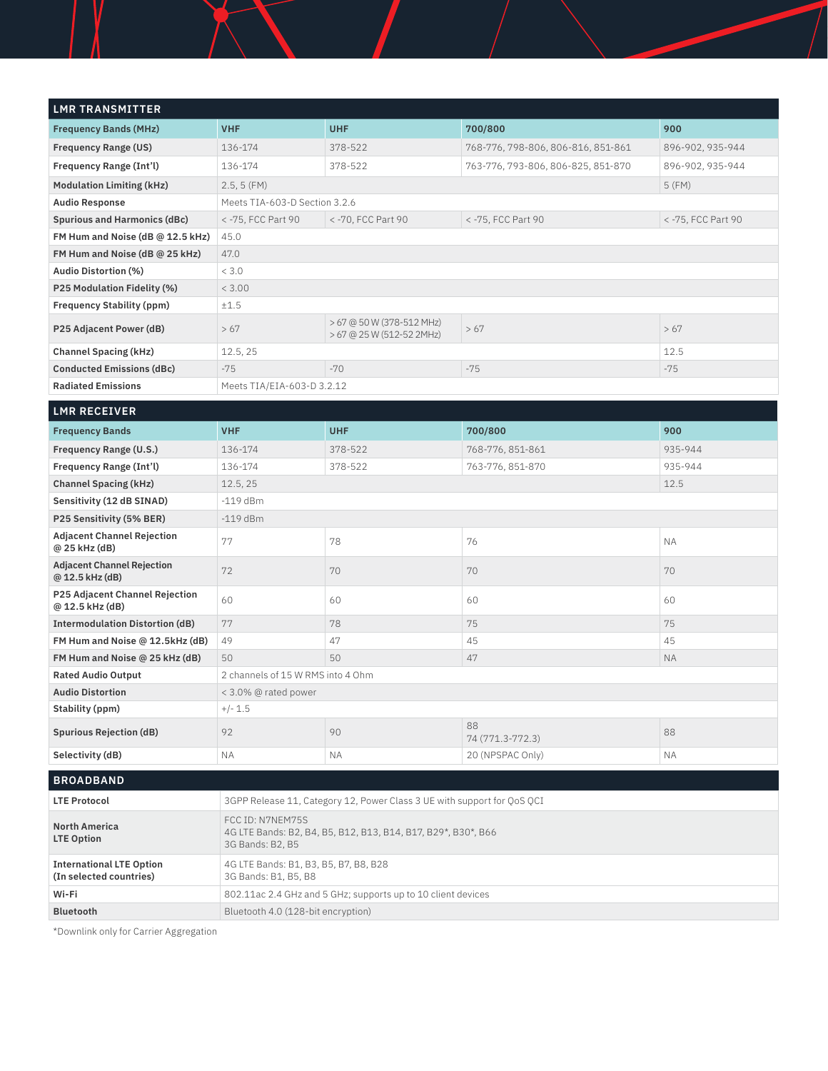| <b>LMR TRANSMITTER</b>                                     |                                                                                                       |                                                        |                                    |                    |  |
|------------------------------------------------------------|-------------------------------------------------------------------------------------------------------|--------------------------------------------------------|------------------------------------|--------------------|--|
| <b>Frequency Bands (MHz)</b>                               | <b>VHF</b>                                                                                            | <b>UHF</b>                                             | 700/800                            | 900                |  |
| <b>Frequency Range (US)</b>                                | 136-174                                                                                               | 378-522                                                | 768-776, 798-806, 806-816, 851-861 | 896-902, 935-944   |  |
| Frequency Range (Int'l)                                    | 136-174                                                                                               | 378-522                                                | 763-776, 793-806, 806-825, 851-870 | 896-902, 935-944   |  |
| <b>Modulation Limiting (kHz)</b>                           | 2.5, 5(FM)                                                                                            |                                                        |                                    | 5(FM)              |  |
| <b>Audio Response</b>                                      | Meets TIA-603-D Section 3.2.6                                                                         |                                                        |                                    |                    |  |
| <b>Spurious and Harmonics (dBc)</b>                        | < -75, FCC Part 90                                                                                    | < -70, FCC Part 90                                     | < -75, FCC Part 90                 | < -75, FCC Part 90 |  |
| FM Hum and Noise (dB @ 12.5 kHz)                           | 45.0                                                                                                  |                                                        |                                    |                    |  |
| FM Hum and Noise (dB @ 25 kHz)                             | 47.0                                                                                                  |                                                        |                                    |                    |  |
| <b>Audio Distortion (%)</b>                                | < 3.0                                                                                                 |                                                        |                                    |                    |  |
| <b>P25 Modulation Fidelity (%)</b>                         | < 3.00                                                                                                |                                                        |                                    |                    |  |
| <b>Frequency Stability (ppm)</b>                           | ±1.5                                                                                                  |                                                        |                                    |                    |  |
| P25 Adjacent Power (dB)                                    | > 67                                                                                                  | > 67 @ 50 W (378-512 MHz)<br>> 67 @ 25 W (512-52 2MHz) | >67                                | >67                |  |
| <b>Channel Spacing (kHz)</b>                               | 12.5, 25                                                                                              |                                                        |                                    | 12.5               |  |
| <b>Conducted Emissions (dBc)</b>                           | $-75$                                                                                                 | $-70$                                                  | $-75$                              | $-75$              |  |
| <b>Radiated Emissions</b>                                  | Meets TIA/EIA-603-D 3.2.12                                                                            |                                                        |                                    |                    |  |
| <b>LMR RECEIVER</b>                                        |                                                                                                       |                                                        |                                    |                    |  |
|                                                            |                                                                                                       |                                                        |                                    |                    |  |
| <b>Frequency Bands</b>                                     | <b>VHF</b>                                                                                            | <b>UHF</b>                                             | 700/800                            | 900                |  |
| Frequency Range (U.S.)                                     | 136-174                                                                                               | 378-522                                                | 768-776, 851-861                   | 935-944            |  |
| <b>Frequency Range (Int'l)</b>                             | 136-174                                                                                               | 378-522                                                | 763-776, 851-870                   | 935-944            |  |
| <b>Channel Spacing (kHz)</b>                               | 12.5, 25                                                                                              |                                                        |                                    | 12.5               |  |
| Sensitivity (12 dB SINAD)                                  | $-119$ dBm                                                                                            |                                                        |                                    |                    |  |
| P25 Sensitivity (5% BER)                                   | $-119$ dBm                                                                                            |                                                        |                                    |                    |  |
| <b>Adjacent Channel Rejection</b><br>@ 25 kHz (dB)         | 77                                                                                                    | 78                                                     | 76                                 | <b>NA</b>          |  |
| <b>Adjacent Channel Rejection</b><br>@ 12.5 kHz (dB)       | 72                                                                                                    | 70                                                     | 70                                 | 70                 |  |
| P25 Adjacent Channel Rejection<br>@ 12.5 kHz (dB)          | 60                                                                                                    | 60                                                     | 60                                 | 60                 |  |
| <b>Intermodulation Distortion (dB)</b>                     | 77                                                                                                    | 78                                                     | 75                                 | 75                 |  |
| FM Hum and Noise @ 12.5kHz (dB)                            | 49                                                                                                    | 47                                                     | 45                                 | 45                 |  |
| FM Hum and Noise @ 25 kHz (dB)                             | 50                                                                                                    | 50                                                     | 47                                 | <b>NA</b>          |  |
| <b>Rated Audio Output</b>                                  | 2 channels of 15 W RMS into 4 Ohm                                                                     |                                                        |                                    |                    |  |
| <b>Audio Distortion</b>                                    | < 3.0% @ rated power                                                                                  |                                                        |                                    |                    |  |
| Stability (ppm)                                            | $+/- 1.5$                                                                                             |                                                        |                                    |                    |  |
| <b>Spurious Rejection (dB)</b>                             | 92                                                                                                    | 90                                                     | 88<br>74 (771.3-772.3)             | 88                 |  |
| Selectivity (dB)                                           | ΝA                                                                                                    | ΝA                                                     | 20 (NPSPAC Only)                   | ΝA                 |  |
| <b>BROADBAND</b>                                           |                                                                                                       |                                                        |                                    |                    |  |
| <b>LTE Protocol</b>                                        | 3GPP Release 11, Category 12, Power Class 3 UE with support for QoS QCI                               |                                                        |                                    |                    |  |
| <b>North America</b><br><b>LTE Option</b>                  | FCC ID: N7NEM75S<br>4G LTE Bands: B2, B4, B5, B12, B13, B14, B17, B29*, B30*, B66<br>3G Bands: B2, B5 |                                                        |                                    |                    |  |
| <b>International LTE Option</b><br>(In selected countries) | 4G LTE Bands: B1, B3, B5, B7, B8, B28<br>3G Bands: B1, B5, B8                                         |                                                        |                                    |                    |  |
| Wi-Fi                                                      | 802.11ac 2.4 GHz and 5 GHz; supports up to 10 client devices                                          |                                                        |                                    |                    |  |

\*Downlink only for Carrier Aggregation

**Bluetooth** Bluetooth 4.0 (128-bit encryption)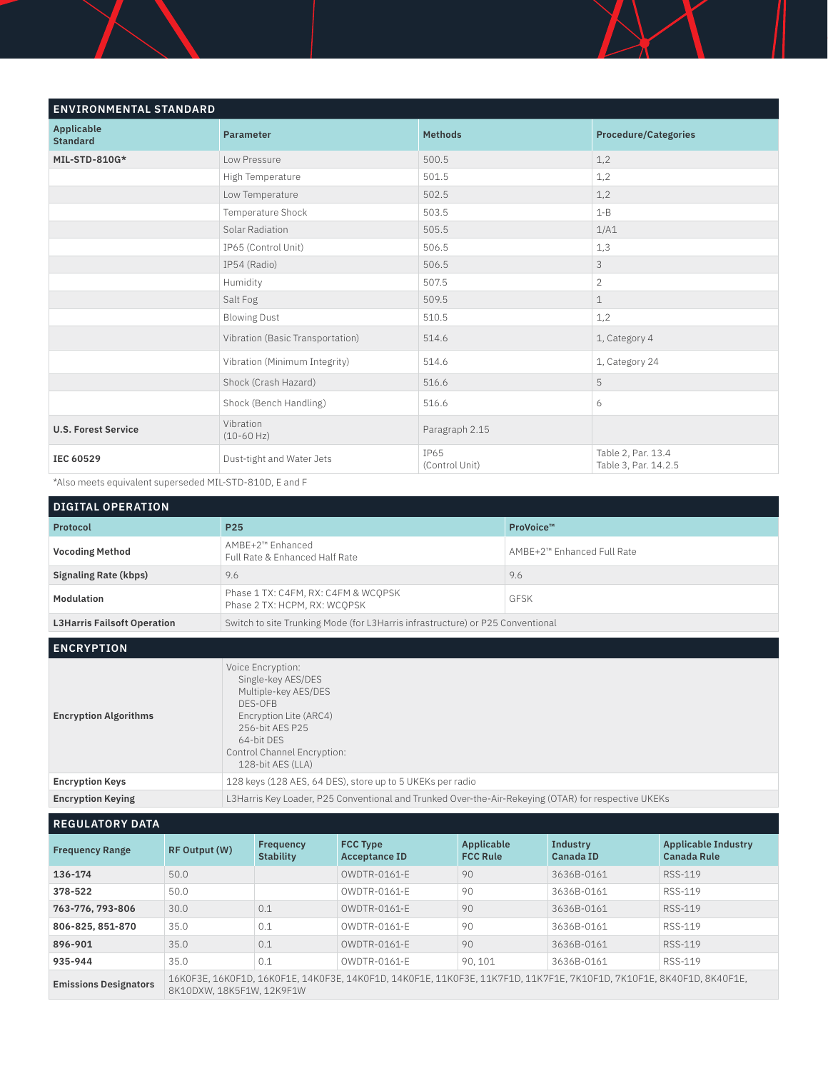| <b>ENVIRONMENTAL STANDARD</b>        |                                  |                        |                                            |  |
|--------------------------------------|----------------------------------|------------------------|--------------------------------------------|--|
| <b>Applicable</b><br><b>Standard</b> | <b>Parameter</b>                 | <b>Methods</b>         | <b>Procedure/Categories</b>                |  |
| MIL-STD-810G*                        | Low Pressure                     | 500.5                  | 1,2                                        |  |
|                                      | High Temperature                 | 501.5                  | 1,2                                        |  |
|                                      | Low Temperature                  | 502.5                  | 1,2                                        |  |
|                                      | Temperature Shock                | 503.5                  | $1 - B$                                    |  |
|                                      | Solar Radiation                  | 505.5                  | 1/A1                                       |  |
|                                      | IP65 (Control Unit)              | 506.5                  | 1,3                                        |  |
|                                      | IP54 (Radio)                     | 506.5                  | 3                                          |  |
|                                      | Humidity                         | 507.5                  | $\overline{2}$                             |  |
|                                      | Salt Fog                         | 509.5                  | $\mathbf 1$                                |  |
|                                      | <b>Blowing Dust</b>              | 510.5                  | 1,2                                        |  |
|                                      | Vibration (Basic Transportation) | 514.6                  | 1, Category 4                              |  |
|                                      | Vibration (Minimum Integrity)    | 514.6                  | 1, Category 24                             |  |
|                                      | Shock (Crash Hazard)             | 516.6                  | 5                                          |  |
|                                      | Shock (Bench Handling)           | 516.6                  | 6                                          |  |
| <b>U.S. Forest Service</b>           | Vibration<br>$(10-60 Hz)$        | Paragraph 2.15         |                                            |  |
| IEC 60529                            | Dust-tight and Water Jets        | IP65<br>(Control Unit) | Table 2, Par. 13.4<br>Table 3, Par. 14.2.5 |  |

Ĩ

\*Also meets equivalent superseded MIL-STD-810D, E and F

| <b>DIGITAL OPERATION</b>           |                                                                                |                            |  |
|------------------------------------|--------------------------------------------------------------------------------|----------------------------|--|
| Protocol                           | P <sub>25</sub>                                                                | ProVoice™                  |  |
| <b>Vocoding Method</b>             | AMBE+2™ Enhanced<br>Full Rate & Enhanced Half Rate                             | AMBE+2™ Enhanced Full Rate |  |
| Signaling Rate (kbps)              | 9.6                                                                            | 9.6                        |  |
| Modulation                         | Phase 1 TX: C4FM, RX: C4FM & WCQPSK<br>Phase 2 TX: HCPM, RX: WCOPSK            | <b>GFSK</b>                |  |
| <b>L3Harris Failsoft Operation</b> | Switch to site Trunking Mode (for L3Harris infrastructure) or P25 Conventional |                            |  |

**ENCRYPTION**

| <b>Encryption Algorithms</b> | Voice Encryption:<br>Single-key AES/DES<br>Multiple-key AES/DES<br>DES-OFB<br>Encryption Lite (ARC4)<br>256-bit AFS P25<br>64-bit DFS<br>Control Channel Encryption:<br>128-bit AES (LLA) |
|------------------------------|-------------------------------------------------------------------------------------------------------------------------------------------------------------------------------------------|
| <b>Encryption Keys</b>       | 128 keys (128 AES, 64 DES), store up to 5 UKEKs per radio                                                                                                                                 |
| <b>Encryption Keying</b>     | L3Harris Key Loader, P25 Conventional and Trunked Over-the-Air-Rekeying (OTAR) for respective UKEKs                                                                                       |

**REGULATORY DATA**

| <b>Frequency Range</b>       | RF Output (W)                                                                                                                                   | Frequency<br>Stability | <b>FCC Type</b><br><b>Acceptance ID</b> | Applicable<br><b>FCC Rule</b> | Industry<br>Canada ID | <b>Applicable Industry</b><br><b>Canada Rule</b> |
|------------------------------|-------------------------------------------------------------------------------------------------------------------------------------------------|------------------------|-----------------------------------------|-------------------------------|-----------------------|--------------------------------------------------|
| 136-174                      | 50.0                                                                                                                                            |                        | OWDTR-0161-F                            | 90                            | 3636B-0161            | RSS-119                                          |
| 378-522                      | 50.0                                                                                                                                            |                        | OWDTR-0161-F                            | 90                            | 3636B-0161            | RSS-119                                          |
| 763-776, 793-806             | 30.0                                                                                                                                            | 0.1                    | OWDTR-0161-F                            | 90                            | 3636B-0161            | RSS-119                                          |
| 806-825, 851-870             | 35.0                                                                                                                                            | 0.1                    | OWDTR-0161-F                            | 90                            | 3636B-0161            | RSS-119                                          |
| 896-901                      | 35.0                                                                                                                                            | 0.1                    | $OWDTR-0161-F$                          | 90                            | 3636B-0161            | RSS-119                                          |
| 935-944                      | 35.0                                                                                                                                            | 0.1                    | OWDTR-0161-F                            | 90, 101                       | 3636B-0161            | RSS-119                                          |
| <b>Emissions Designators</b> | 16KOF3E, 16KOF1D, 16KOF1E, 14KOF3E, 14KOF1D, 14KOF1E, 11KOF3E, 11K7F1D, 11K7F1E, 7K1OF1D, 7K1OF1E, 8K4OF1D, 8K4OF1E,<br>8K10DXW.18K5F1W.12K9F1W |                        |                                         |                               |                       |                                                  |